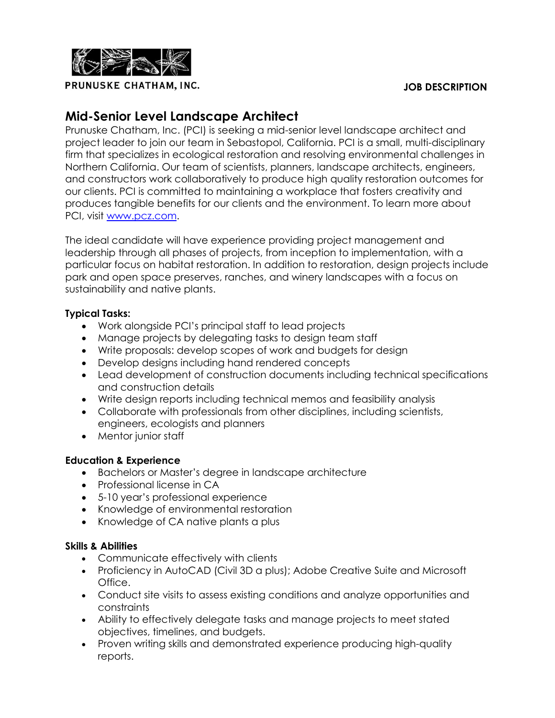

**PRUNUSKE CHATHAM, INC.** The set of the set of the set of the set of the set of the set of the set of the set of the set of the set of the set of the set of the set of the set of the set of the set of the set of the set of

# **Mid-Senior Level Landscape Architect**

Prunuske Chatham, Inc. (PCI) is seeking a mid-senior level landscape architect and project leader to join our team in Sebastopol, California. PCI is a small, multi-disciplinary firm that specializes in ecological restoration and resolving environmental challenges in Northern California. Our team of scientists, planners, landscape architects, engineers, and constructors work collaboratively to produce high quality restoration outcomes for our clients. PCI is committed to maintaining a workplace that fosters creativity and produces tangible benefits for our clients and the environment. To learn more about PCI, visit [www.pcz.com.](http://www.pcz.com/)

The ideal candidate will have experience providing project management and leadership through all phases of projects, from inception to implementation, with a particular focus on habitat restoration. In addition to restoration, design projects include park and open space preserves, ranches, and winery landscapes with a focus on sustainability and native plants.

### **Typical Tasks:**

- Work alongside PCI's principal staff to lead projects
- Manage projects by delegating tasks to design team staff
- Write proposals: develop scopes of work and budgets for design
- Develop designs including hand rendered concepts
- Lead development of construction documents including technical specifications and construction details
- Write design reports including technical memos and feasibility analysis
- Collaborate with professionals from other disciplines, including scientists, engineers, ecologists and planners
- Mentor junior staff

## **Education & Experience**

- Bachelors or Master's degree in landscape architecture
- Professional license in CA
- 5-10 year's professional experience
- Knowledge of environmental restoration
- Knowledge of CA native plants a plus

### **Skills & Abilities**

- Communicate effectively with clients
- Proficiency in AutoCAD (Civil 3D a plus); Adobe Creative Suite and Microsoft Office.
- Conduct site visits to assess existing conditions and analyze opportunities and constraints
- Ability to effectively delegate tasks and manage projects to meet stated objectives, timelines, and budgets.
- Proven writing skills and demonstrated experience producing high-quality reports.